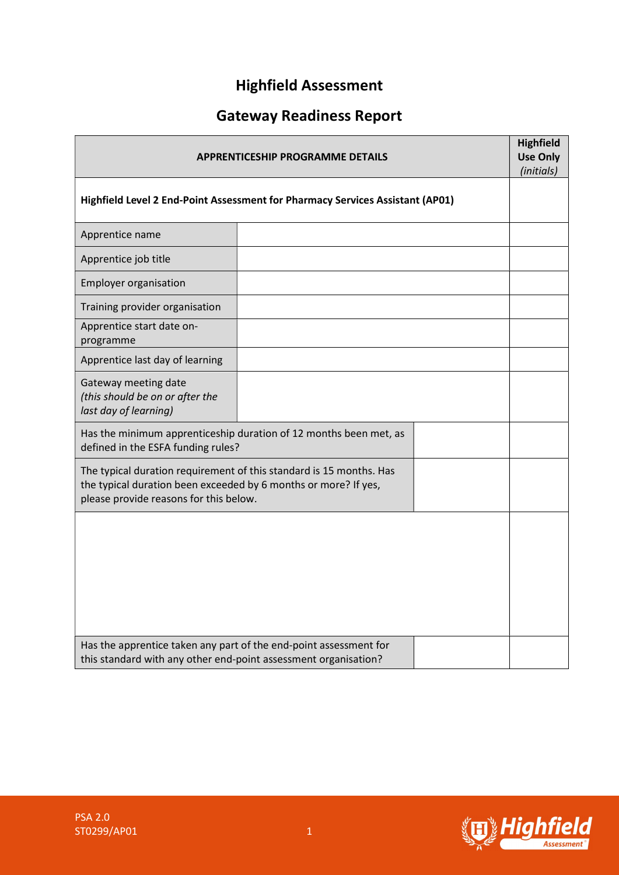# Highfield Assessment

# Gateway Readiness Report

| <b>APPRENTICESHIP PROGRAMME DETAILS</b>                                                                                                                                          |  |  |  |  |
|----------------------------------------------------------------------------------------------------------------------------------------------------------------------------------|--|--|--|--|
| Highfield Level 2 End-Point Assessment for Pharmacy Services Assistant (AP01)                                                                                                    |  |  |  |  |
| Apprentice name                                                                                                                                                                  |  |  |  |  |
| Apprentice job title                                                                                                                                                             |  |  |  |  |
| <b>Employer organisation</b>                                                                                                                                                     |  |  |  |  |
| Training provider organisation                                                                                                                                                   |  |  |  |  |
| Apprentice start date on-<br>programme                                                                                                                                           |  |  |  |  |
| Apprentice last day of learning                                                                                                                                                  |  |  |  |  |
| Gateway meeting date<br>(this should be on or after the<br>last day of learning)                                                                                                 |  |  |  |  |
| Has the minimum apprenticeship duration of 12 months been met, as<br>defined in the ESFA funding rules?                                                                          |  |  |  |  |
| The typical duration requirement of this standard is 15 months. Has<br>the typical duration been exceeded by 6 months or more? If yes,<br>please provide reasons for this below. |  |  |  |  |
|                                                                                                                                                                                  |  |  |  |  |
| Has the apprentice taken any part of the end-point assessment for<br>this standard with any other end-point assessment organisation?                                             |  |  |  |  |

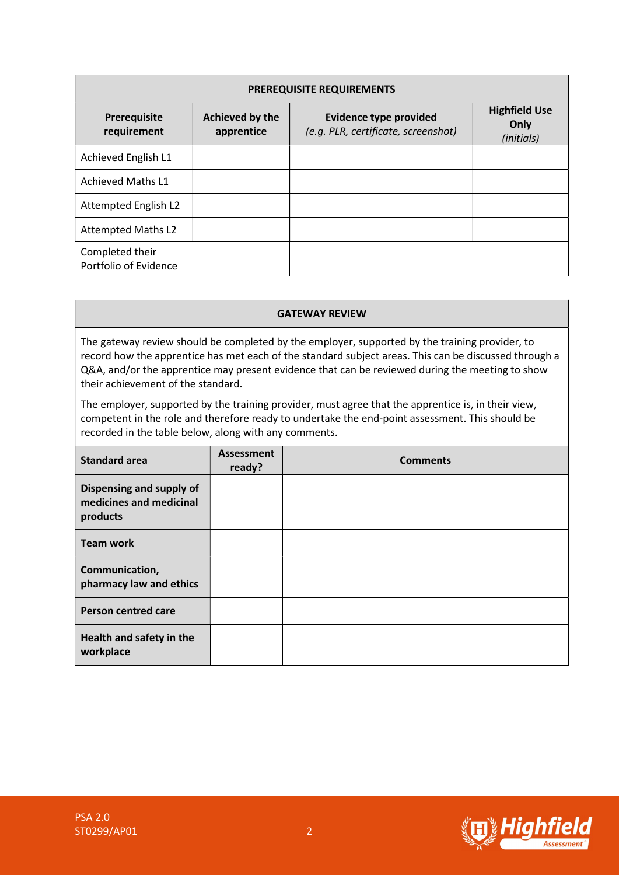| <b>PREREQUISITE REQUIREMENTS</b>         |                               |                                                                      |                                            |  |  |  |
|------------------------------------------|-------------------------------|----------------------------------------------------------------------|--------------------------------------------|--|--|--|
| Prerequisite<br>requirement              | Achieved by the<br>apprentice | <b>Evidence type provided</b><br>(e.g. PLR, certificate, screenshot) | <b>Highfield Use</b><br>Only<br>(initials) |  |  |  |
| Achieved English L1                      |                               |                                                                      |                                            |  |  |  |
| <b>Achieved Maths L1</b>                 |                               |                                                                      |                                            |  |  |  |
| Attempted English L2                     |                               |                                                                      |                                            |  |  |  |
| <b>Attempted Maths L2</b>                |                               |                                                                      |                                            |  |  |  |
| Completed their<br>Portfolio of Evidence |                               |                                                                      |                                            |  |  |  |

#### GATEWAY REVIEW

The gateway review should be completed by the employer, supported by the training provider, to record how the apprentice has met each of the standard subject areas. This can be discussed through a Q&A, and/or the apprentice may present evidence that can be reviewed during the meeting to show their achievement of the standard.

The employer, supported by the training provider, must agree that the apprentice is, in their view, competent in the role and therefore ready to undertake the end-point assessment. This should be recorded in the table below, along with any comments.

| <b>Standard area</b>                                            | Assessment<br>ready? | <b>Comments</b> |
|-----------------------------------------------------------------|----------------------|-----------------|
| Dispensing and supply of<br>medicines and medicinal<br>products |                      |                 |
| <b>Team work</b>                                                |                      |                 |
| Communication,<br>pharmacy law and ethics                       |                      |                 |
| <b>Person centred care</b>                                      |                      |                 |
| Health and safety in the<br>workplace                           |                      |                 |